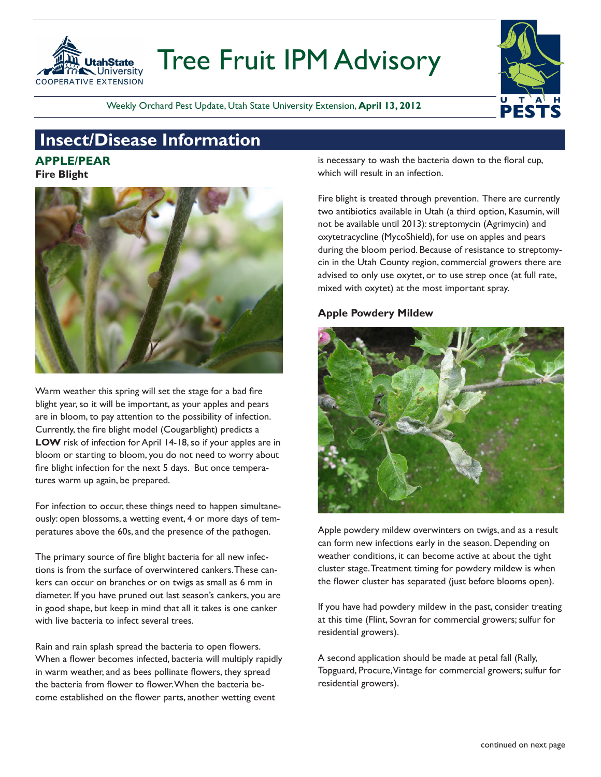

# Tree Fruit IPM Advisory

Weekly Orchard Pest Update, Utah State University Extension, **April 13, 2012**

# **Insect/Disease Information**

# **APPLE/PEAR**

**Fire Blight**



Warm weather this spring will set the stage for a bad fire blight year, so it will be important, as your apples and pears are in bloom, to pay attention to the possibility of infection. Currently, the fire blight model (Cougarblight) predicts a **LOW** risk of infection for April 14-18, so if your apples are in bloom or starting to bloom, you do not need to worry about fire blight infection for the next 5 days. But once temperatures warm up again, be prepared.

For infection to occur, these things need to happen simultaneously: open blossoms, a wetting event, 4 or more days of temperatures above the 60s, and the presence of the pathogen.

The primary source of fire blight bacteria for all new infections is from the surface of overwintered cankers. These cankers can occur on branches or on twigs as small as 6 mm in diameter. If you have pruned out last season's cankers, you are in good shape, but keep in mind that all it takes is one canker with live bacteria to infect several trees.

Rain and rain splash spread the bacteria to open flowers. When a flower becomes infected, bacteria will multiply rapidly in warm weather, and as bees pollinate flowers, they spread the bacteria from flower to flower. When the bacteria become established on the flower parts, another wetting event

is necessary to wash the bacteria down to the floral cup, which will result in an infection.

**PESTS** 

Fire blight is treated through prevention. There are currently two antibiotics available in Utah (a third option, Kasumin, will not be available until 2013): streptomycin (Agrimycin) and oxytetracycline (MycoShield), for use on apples and pears during the bloom period. Because of resistance to streptomycin in the Utah County region, commercial growers there are advised to only use oxytet, or to use strep once (at full rate, mixed with oxytet) at the most important spray.

## **Apple Powdery Mildew**



Apple powdery mildew overwinters on twigs, and as a result can form new infections early in the season. Depending on weather conditions, it can become active at about the tight cluster stage. Treatment timing for powdery mildew is when the flower cluster has separated (just before blooms open).

If you have had powdery mildew in the past, consider treating at this time (Flint, Sovran for commercial growers; sulfur for residential growers).

A second application should be made at petal fall (Rally, Topguard, Procure, Vintage for commercial growers; sulfur for residential growers).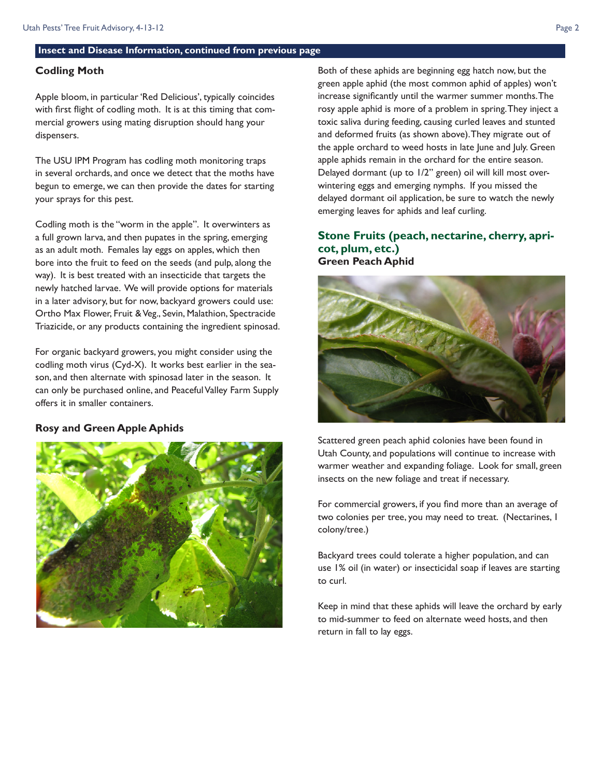#### **Insect and Disease Information, continued from previous page**

#### **Codling Moth**

Apple bloom, in particular 'Red Delicious', typically coincides with first flight of codling moth. It is at this timing that commercial growers using mating disruption should hang your dispensers.

The USU IPM Program has codling moth monitoring traps in several orchards, and once we detect that the moths have begun to emerge, we can then provide the dates for starting your sprays for this pest.

Codling moth is the "worm in the apple". It overwinters as a full grown larva, and then pupates in the spring, emerging as an adult moth. Females lay eggs on apples, which then bore into the fruit to feed on the seeds (and pulp, along the way). It is best treated with an insecticide that targets the newly hatched larvae. We will provide options for materials in a later advisory, but for now, backyard growers could use: Ortho Max Flower, Fruit & Veg., Sevin, Malathion, Spectracide Triazicide, or any products containing the ingredient spinosad.

For organic backyard growers, you might consider using the codling moth virus (Cyd-X). It works best earlier in the season, and then alternate with spinosad later in the season. It can only be purchased online, and Peaceful Valley Farm Supply offers it in smaller containers.

#### **Rosy and Green Apple Aphids**



Both of these aphids are beginning egg hatch now, but the green apple aphid (the most common aphid of apples) won't increase significantly until the warmer summer months. The rosy apple aphid is more of a problem in spring. They inject a toxic saliva during feeding, causing curled leaves and stunted and deformed fruits (as shown above). They migrate out of the apple orchard to weed hosts in late June and July. Green apple aphids remain in the orchard for the entire season. Delayed dormant (up to 1/2" green) oil will kill most overwintering eggs and emerging nymphs. If you missed the delayed dormant oil application, be sure to watch the newly emerging leaves for aphids and leaf curling.

### **Stone Fruits (peach, nectarine, cherry, apricot, plum, etc.) Green Peach Aphid**



Scattered green peach aphid colonies have been found in Utah County, and populations will continue to increase with warmer weather and expanding foliage. Look for small, green insects on the new foliage and treat if necessary.

For commercial growers, if you find more than an average of two colonies per tree, you may need to treat. (Nectarines, 1 colony/tree.)

Backyard trees could tolerate a higher population, and can use 1% oil (in water) or insecticidal soap if leaves are starting to curl.

Keep in mind that these aphids will leave the orchard by early to mid-summer to feed on alternate weed hosts, and then return in fall to lay eggs.